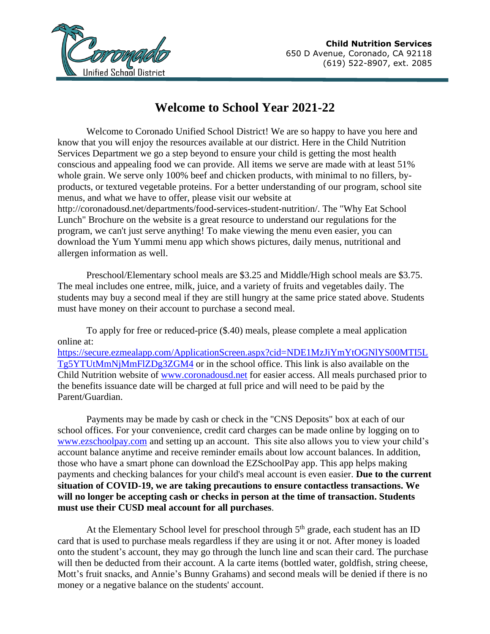

## **Welcome to School Year 2021-22**

Welcome to Coronado Unified School District! We are so happy to have you here and know that you will enjoy the resources available at our district. Here in the Child Nutrition Services Department we go a step beyond to ensure your child is getting the most health conscious and appealing food we can provide. All items we serve are made with at least 51% whole grain. We serve only 100% beef and chicken products, with minimal to no fillers, byproducts, or textured vegetable proteins. For a better understanding of our program, school site menus, and what we have to offer, please visit our website at

http://coronadousd.net/departments/food-services-student-nutrition/. The "Why Eat School Lunch" Brochure on the website is a great resource to understand our regulations for the program, we can't just serve anything! To make viewing the menu even easier, you can download the Yum Yummi menu app which shows pictures, daily menus, nutritional and allergen information as well.

Preschool/Elementary school meals are \$3.25 and Middle/High school meals are \$3.75. The meal includes one entree, milk, juice, and a variety of fruits and vegetables daily. The students may buy a second meal if they are still hungry at the same price stated above. Students must have money on their account to purchase a second meal.

To apply for free or reduced-price (\$.40) meals, please complete a meal application online at: [https://secure.ezmealapp.com/ApplicationScreen.aspx?cid=NDE1MzJiYmYtOGNlYS00MTI5L](https://secure.ezmealapp.com/ApplicationScreen.aspx?cid=NDE1MzJiYmYtOGNlYS00MTI5LTg5YTUtMmNjMmFlZDg3ZGM4) [Tg5YTUtMmNjMmFlZDg3ZGM4](https://secure.ezmealapp.com/ApplicationScreen.aspx?cid=NDE1MzJiYmYtOGNlYS00MTI5LTg5YTUtMmNjMmFlZDg3ZGM4) or in the school office. This link is also available on the Child Nutrition website of [www.coronadousd.net](http://www.coronadousd.net/) for easier access. All meals purchased prior to the benefits issuance date will be charged at full price and will need to be paid by the Parent/Guardian.

Payments may be made by cash or check in the "CNS Deposits" box at each of our school offices. For your convenience, credit card charges can be made online by logging on to [www.ezschoolpay.com](http://www.ezschoolpay.com/) and setting up an account. This site also allows you to view your child's account balance anytime and receive reminder emails about low account balances. In addition, those who have a smart phone can download the EZSchoolPay app. This app helps making payments and checking balances for your child's meal account is even easier. **Due to the current situation of COVID-19, we are taking precautions to ensure contactless transactions. We will no longer be accepting cash or checks in person at the time of transaction. Students must use their CUSD meal account for all purchases**.

At the Elementary School level for preschool through  $5<sup>th</sup>$  grade, each student has an ID card that is used to purchase meals regardless if they are using it or not. After money is loaded onto the student's account, they may go through the lunch line and scan their card. The purchase will then be deducted from their account. A la carte items (bottled water, goldfish, string cheese, Mott's fruit snacks, and Annie's Bunny Grahams) and second meals will be denied if there is no money or a negative balance on the students' account.